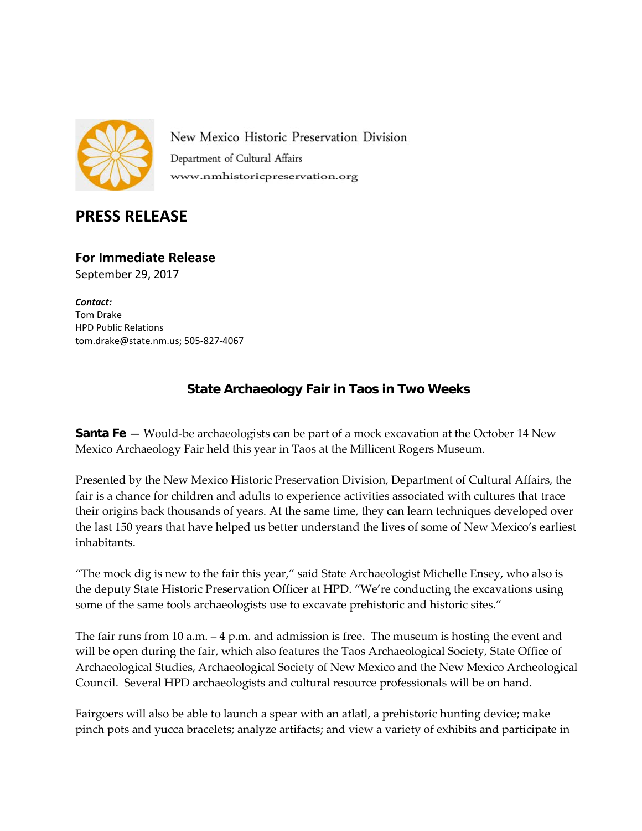

New Mexico Historic Preservation Division Department of Cultural Affairs www.nmhistoricpreservation.org

## **PRESS RELEASE**

**For Immediate Release** September 29, 2017

*Contact:* Tom Drake HPD Public Relations [tom.drake@state.nm.us;](mailto:tom.drake@state.nm.us) 505-827-4067

## **State Archaeology Fair in Taos in Two Weeks**

**Santa Fe –** Would-be archaeologists can be part of a mock excavation at the October 14 New Mexico Archaeology Fair held this year in Taos at the Millicent Rogers Museum.

Presented by the New Mexico Historic Preservation Division, Department of Cultural Affairs, the fair is a chance for children and adults to experience activities associated with cultures that trace their origins back thousands of years. At the same time, they can learn techniques developed over the last 150 years that have helped us better understand the lives of some of New Mexico's earliest inhabitants.

"The mock dig is new to the fair this year," said State Archaeologist Michelle Ensey, who also is the deputy State Historic Preservation Officer at HPD. "We're conducting the excavations using some of the same tools archaeologists use to excavate prehistoric and historic sites."

The fair runs from 10 a.m. – 4 p.m. and admission is free. The museum is hosting the event and will be open during the fair, which also features the Taos Archaeological Society, State Office of Archaeological Studies, Archaeological Society of New Mexico and the New Mexico Archeological Council. Several HPD archaeologists and cultural resource professionals will be on hand.

Fairgoers will also be able to launch a spear with an atlatl, a prehistoric hunting device; make pinch pots and yucca bracelets; analyze artifacts; and view a variety of exhibits and participate in